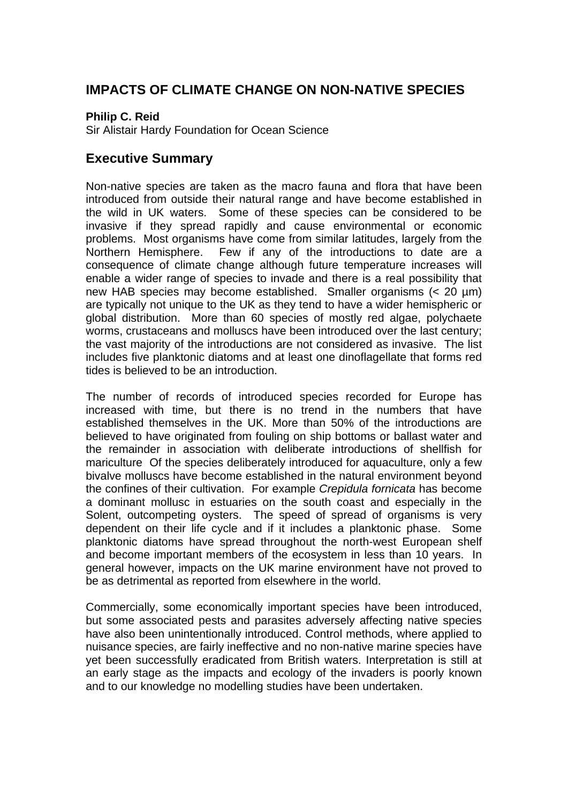## **IMPACTS OF CLIMATE CHANGE ON NON-NATIVE SPECIES**

#### **Philip C. Reid**

Sir Alistair Hardy Foundation for Ocean Science

### **Executive Summary**

Non-native species are taken as the macro fauna and flora that have been introduced from outside their natural range and have become established in the wild in UK waters. Some of these species can be considered to be invasive if they spread rapidly and cause environmental or economic problems. Most organisms have come from similar latitudes, largely from the Northern Hemisphere. Few if any of the introductions to date are a consequence of climate change although future temperature increases will enable a wider range of species to invade and there is a real possibility that new HAB species may become established. Smaller organisms (< 20 µm) are typically not unique to the UK as they tend to have a wider hemispheric or global distribution. More than 60 species of mostly red algae, polychaete worms, crustaceans and molluscs have been introduced over the last century; the vast majority of the introductions are not considered as invasive. The list includes five planktonic diatoms and at least one dinoflagellate that forms red tides is believed to be an introduction.

The number of records of introduced species recorded for Europe has increased with time, but there is no trend in the numbers that have established themselves in the UK. More than 50% of the introductions are believed to have originated from fouling on ship bottoms or ballast water and the remainder in association with deliberate introductions of shellfish for mariculture Of the species deliberately introduced for aquaculture, only a few bivalve molluscs have become established in the natural environment beyond the confines of their cultivation. For example *Crepidula fornicata* has become a dominant mollusc in estuaries on the south coast and especially in the Solent, outcompeting oysters. The speed of spread of organisms is very dependent on their life cycle and if it includes a planktonic phase. Some planktonic diatoms have spread throughout the north-west European shelf and become important members of the ecosystem in less than 10 years. In general however, impacts on the UK marine environment have not proved to be as detrimental as reported from elsewhere in the world.

Commercially, some economically important species have been introduced, but some associated pests and parasites adversely affecting native species have also been unintentionally introduced. Control methods, where applied to nuisance species, are fairly ineffective and no non-native marine species have yet been successfully eradicated from British waters. Interpretation is still at an early stage as the impacts and ecology of the invaders is poorly known and to our knowledge no modelling studies have been undertaken.